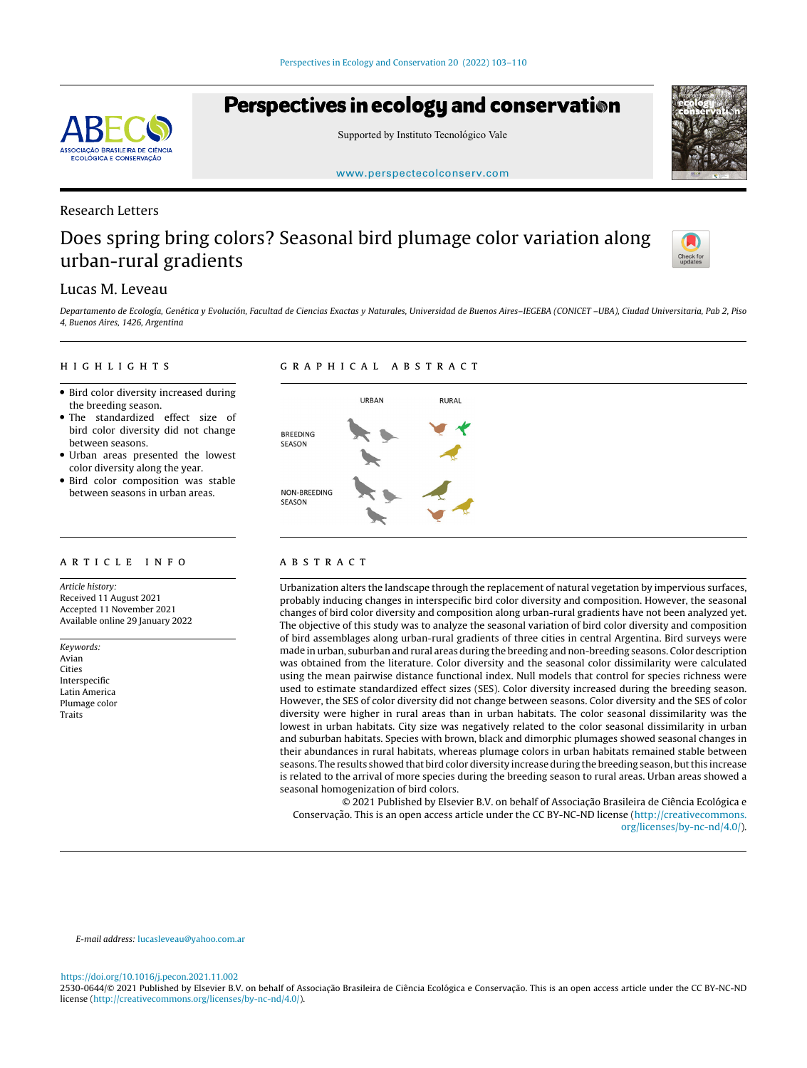# Perspectives in ecology and conservation





[www.perspectecolconserv.com](https://www.perspectecolconserv.com)

# Research Letters

**SOCIAÇÃO BRASILEIRA DE CIÊNCIA ECOLÓGICA E CONSERVAÇÃO** 

# Does spring bring colors? Seasonal bird plumage color variation along urban-rural gradients



# Lucas M. Leveau

Departamento de Ecología, Genética y Evolución, Facultad de Ciencias Exactas y Naturales, Universidad de Buenos Aires–IEGEBA (CONICET –UBA), Ciudad Universitaria, Pab 2, Piso 4, Buenos Aires, 1426, Argentina

#### h i g h l i g h t s

## g r a p h i c a l a b s t r a c t

- Bird color diversity increased during the breeding season.
- The standardized effect size of bird color diversity did not change between seasons.
- Urban areas presented the lowest color diversity along the year.
- Bird color composition was stable between seasons in urban areas.

#### a r t i c l e i n f o

Article history: Received 11 August 2021 Accepted 11 November 2021 Available online 29 January 2022

Keywords: Avian Cities Interspecific Latin America Plumage color Traits



## A B S T R A C T

Urbanization alters the landscape through the replacement of natural vegetation by impervious surfaces, probably inducing changes in interspecific bird color diversity and composition. However, the seasonal changes of bird color diversity and composition along urban-rural gradients have not been analyzed yet. The objective of this study was to analyze the seasonal variation of bird color diversity and composition of bird assemblages along urban-rural gradients of three cities in central Argentina. Bird surveys were made in urban, suburban and rural areas during the breeding and non-breeding seasons. Color description was obtained from the literature. Color diversity and the seasonal color dissimilarity were calculated using the mean pairwise distance functional index. Null models that control for species richness were used to estimate standardized effect sizes (SES). Color diversity increased during the breeding season. However, the SES of color diversity did not change between seasons. Color diversity and the SES of color diversity were higher in rural areas than in urban habitats. The color seasonal dissimilarity was the lowest in urban habitats. City size was negatively related to the color seasonal dissimilarity in urban and suburban habitats. Species with brown, black and dimorphic plumages showed seasonal changes in their abundances in rural habitats, whereas plumage colors in urban habitats remained stable between seasons. The results showed that bird color diversity increase during the breeding season, butthis increase is related to the arrival of more species during the breeding season to rural areas. Urban areas showed a seasonal homogenization of bird colors.

© 2021 Published by Elsevier B.V. on behalf of Associação Brasileira de Ciência Ecológica e Conservação. This is an open access article under the CC BY-NC-ND license ([http://creativecommons.](http://creativecommons.org/licenses/by-nc-nd/4.0/) [org/licenses/by-nc-nd/4.0/\)](http://creativecommons.org/licenses/by-nc-nd/4.0/).

E-mail address: [lucasleveau@yahoo.com.ar](mailto:lucasleveau@yahoo.com.ar)

<https://doi.org/10.1016/j.pecon.2021.11.002>

2530-0644/© 2021 Published by Elsevier B.V. on behalf of Associação Brasileira de Ciência Ecológica e Conservação. This is an open access article under the CC BY-NC-ND license [\(http://creativecommons.org/licenses/by-nc-nd/4.0/\)](http://creativecommons.org/licenses/by-nc-nd/4.0/).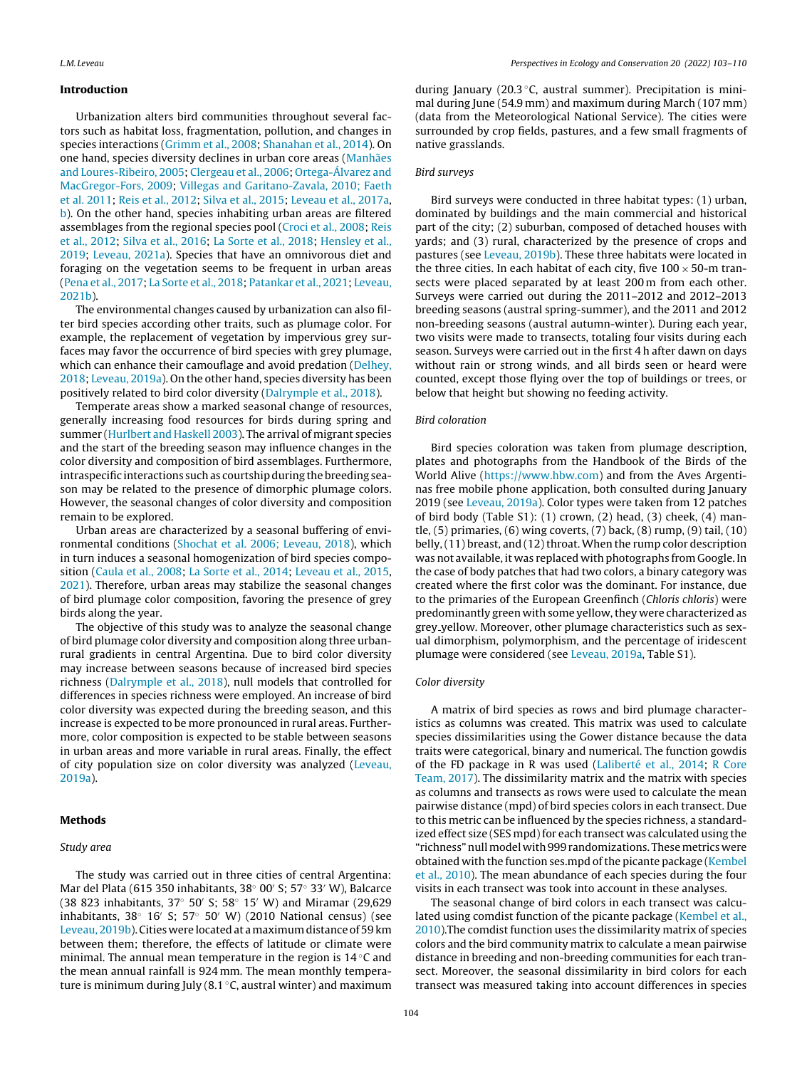#### Introduction

Urbanization alters bird communities throughout several factors such as habitat loss, fragmentation, pollution, and changes in species interactions ([Grimm](#page-7-0) et [al.,](#page-7-0) [2008;](#page-7-0) [Shanahan](#page-7-0) et [al.,](#page-7-0) [2014\).](#page-7-0) On one hand, species diversity declines in urban core areas [\(Manhães](#page-7-0) [and](#page-7-0) [Loures-Ribeiro,](#page-7-0) [2005;](#page-7-0) [Clergeau](#page-6-0) et [al.,](#page-6-0) [2006;](#page-6-0) [Ortega-Álvarez](#page-7-0) [and](#page-7-0) [MacGregor-Fors,](#page-7-0) [2009;](#page-7-0) [Villegas](#page-7-0) [and](#page-7-0) [Garitano-Zavala,](#page-7-0) [2010;](#page-7-0) [Faeth](#page-7-0) et [al.](#page-7-0) [2011;](#page-7-0) [Reis](#page-7-0) et [al.,](#page-7-0) [2012;](#page-7-0) [Silva](#page-7-0) et [al.,](#page-7-0) [2015;](#page-7-0) [Leveau](#page-7-0) et [al.,](#page-7-0) [2017a,](#page-7-0) [b\).](#page-7-0) On the other hand, species inhabiting urban areas are filtered assemblages from the regional species pool ([Croci](#page-6-0) et [al.,](#page-6-0) [2008;](#page-6-0) [Reis](#page-7-0) et [al.,](#page-7-0) [2012;](#page-7-0) [Silva](#page-7-0) et [al.,](#page-7-0) [2016;](#page-7-0) [La](#page-7-0) [Sorte](#page-7-0) et [al.,](#page-7-0) [2018;](#page-7-0) [Hensley](#page-7-0) et [al.,](#page-7-0) [2019;](#page-7-0) [Leveau,](#page-7-0) [2021a\).](#page-7-0) Species that have an omnivorous diet and foraging on the vegetation seems to be frequent in urban areas [\(Pena](#page-7-0) et [al.,](#page-7-0) [2017;](#page-7-0) [La](#page-7-0) [Sorte](#page-7-0) et [al.,](#page-7-0) [2018;](#page-7-0) [Patankar](#page-7-0) et [al.,](#page-7-0) [2021;](#page-7-0) [Leveau,](#page-7-0) [2021b\).](#page-7-0)

The environmental changes caused by urbanization can also filter bird species according other traits, such as plumage color. For example, the replacement of vegetation by impervious grey surfaces may favor the occurrence of bird species with grey plumage, which can enhance their camouflage and avoid predation [\(Delhey,](#page-7-0) [2018;](#page-7-0) [Leveau,](#page-7-0) [2019a\).](#page-7-0) On the other hand, species diversity has been positively related to bird color diversity ([Dalrymple](#page-7-0) et [al.,](#page-7-0) [2018\).](#page-7-0)

Temperate areas show a marked seasonal change of resources, generally increasing food resources for birds during spring and summer [\(Hurlbert](#page-7-0) [and](#page-7-0) [Haskell](#page-7-0) [2003\).](#page-7-0) The arrival of migrant species and the start of the breeding season may influence changes in the color diversity and composition of bird assemblages. Furthermore, intraspecific interactions such as courtship during the breeding season may be related to the presence of dimorphic plumage colors. However, the seasonal changes of color diversity and composition remain to be explored.

Urban areas are characterized by a seasonal buffering of environmental conditions [\(Shochat](#page-7-0) et [al.](#page-7-0) [2006;](#page-7-0) [Leveau,](#page-7-0) [2018\),](#page-7-0) which in turn induces a seasonal homogenization of bird species composition [\(Caula](#page-6-0) et [al.,](#page-6-0) [2008;](#page-6-0) [La](#page-7-0) [Sorte](#page-7-0) et [al.,](#page-7-0) [2014;](#page-7-0) [Leveau](#page-7-0) et [al.,](#page-7-0) [2015,](#page-7-0) [2021\).](#page-7-0) Therefore, urban areas may stabilize the seasonal changes of bird plumage color composition, favoring the presence of grey birds along the year.

The objective of this study was to analyze the seasonal change of bird plumage color diversity and composition along three urbanrural gradients in central Argentina. Due to bird color diversity may increase between seasons because of increased bird species richness ([Dalrymple](#page-7-0) et [al.,](#page-7-0) [2018\),](#page-7-0) null models that controlled for differences in species richness were employed. An increase of bird color diversity was expected during the breeding season, and this increase is expected to be more pronounced in rural areas. Furthermore, color composition is expected to be stable between seasons in urban areas and more variable in rural areas. Finally, the effect of city population size on color diversity was analyzed [\(Leveau,](#page-7-0) [2019a\).](#page-7-0)

#### Methods

#### Study area

The study was carried out in three cities of central Argentina: Mar del Plata (615 350 inhabitants, 38° 00' S; 57° 33' W), Balcarce (38 823 inhabitants, 37◦ 50 S; 58◦ 15 W) and Miramar (29,629 inhabitants, 38 $\degree$  16' S; 57 $\degree$  50' W) (2010 National census) (see [Leveau,](#page-7-0) [2019b\).](#page-7-0) Cities were located at a maximum distance of 59 km between them; therefore, the effects of latitude or climate were minimal. The annual mean temperature in the region is 14 ◦C and the mean annual rainfall is 924 mm. The mean monthly temperature is minimum during July (8.1  $\degree$ C, austral winter) and maximum during January (20.3 ◦C, austral summer). Precipitation is minimal during June (54.9 mm) and maximum during March (107 mm) (data from the Meteorological National Service). The cities were surrounded by crop fields, pastures, and a few small fragments of native grasslands.

### Bird surveys

Bird surveys were conducted in three habitat types: (1) urban, dominated by buildings and the main commercial and historical part of the city; (2) suburban, composed of detached houses with yards; and (3) rural, characterized by the presence of crops and pastures (see [Leveau,](#page-7-0) [2019b\).](#page-7-0) These three habitats were located in the three cities. In each habitat of each city, five  $100 \times 50$ -m transects were placed separated by at least 200 m from each other. Surveys were carried out during the 2011–2012 and 2012–2013 breeding seasons (austral spring-summer), and the 2011 and 2012 non-breeding seasons (austral autumn-winter). During each year, two visits were made to transects, totaling four visits during each season. Surveys were carried out in the first 4 h after dawn on days without rain or strong winds, and all birds seen or heard were counted, except those flying over the top of buildings or trees, or below that height but showing no feeding activity.

#### Bird coloration

Bird species coloration was taken from plumage description, plates and photographs from the Handbook of the Birds of the World Alive ([https://www.hbw.com\)](https://www.hbw.com) and from the Aves Argentinas free mobile phone application, both consulted during January 2019 (see [Leveau,](#page-7-0) [2019a\).](#page-7-0) Color types were taken from 12 patches of bird body (Table S1): (1) crown, (2) head, (3) cheek, (4) mantle, (5) primaries, (6) wing coverts, (7) back, (8) rump, (9) tail, (10) belly,  $(11)$  breast, and  $(12)$  throat. When the rump color description was not available, it was replaced with photographs from Google. In the case of body patches that had two colors, a binary category was created where the first color was the dominant. For instance, due to the primaries of the European Greenfinch (Chloris chloris) were predominantly green with some yellow,they were characterized as grey yellow. Moreover, other plumage characteristics such as sexual dimorphism, polymorphism, and the percentage of iridescent plumage were considered (see [Leveau,](#page-7-0) [2019a,](#page-7-0) Table S1).

#### Color diversity

A matrix of bird species as rows and bird plumage characteristics as columns was created. This matrix was used to calculate species dissimilarities using the Gower distance because the data traits were categorical, binary and numerical. The function gowdis of the FD package in R was used [\(Laliberté](#page-7-0) et [al.,](#page-7-0) [2014;](#page-7-0) [R](#page-7-0) [Core](#page-7-0) [Team,](#page-7-0) [2017\).](#page-7-0) The dissimilarity matrix and the matrix with species as columns and transects as rows were used to calculate the mean pairwise distance (mpd) of bird species colors in each transect. Due to this metric can be influenced by the species richness, a standardized effect size (SES mpd) for each transect was calculated using the "richness"nullmodel with999 randomizations. Thesemetrics were obtained with the function ses.mpd of the picante package [\(Kembel](#page-7-0) et [al.,](#page-7-0) [2010\).](#page-7-0) The mean abundance of each species during the four visits in each transect was took into account in these analyses.

The seasonal change of bird colors in each transect was calculated using comdist function of the picante package [\(Kembel](#page-7-0) et [al.,](#page-7-0) [2010\).T](#page-7-0)he comdist function uses the dissimilarity matrix of species colors and the bird community matrix to calculate a mean pairwise distance in breeding and non-breeding communities for each transect. Moreover, the seasonal dissimilarity in bird colors for each transect was measured taking into account differences in species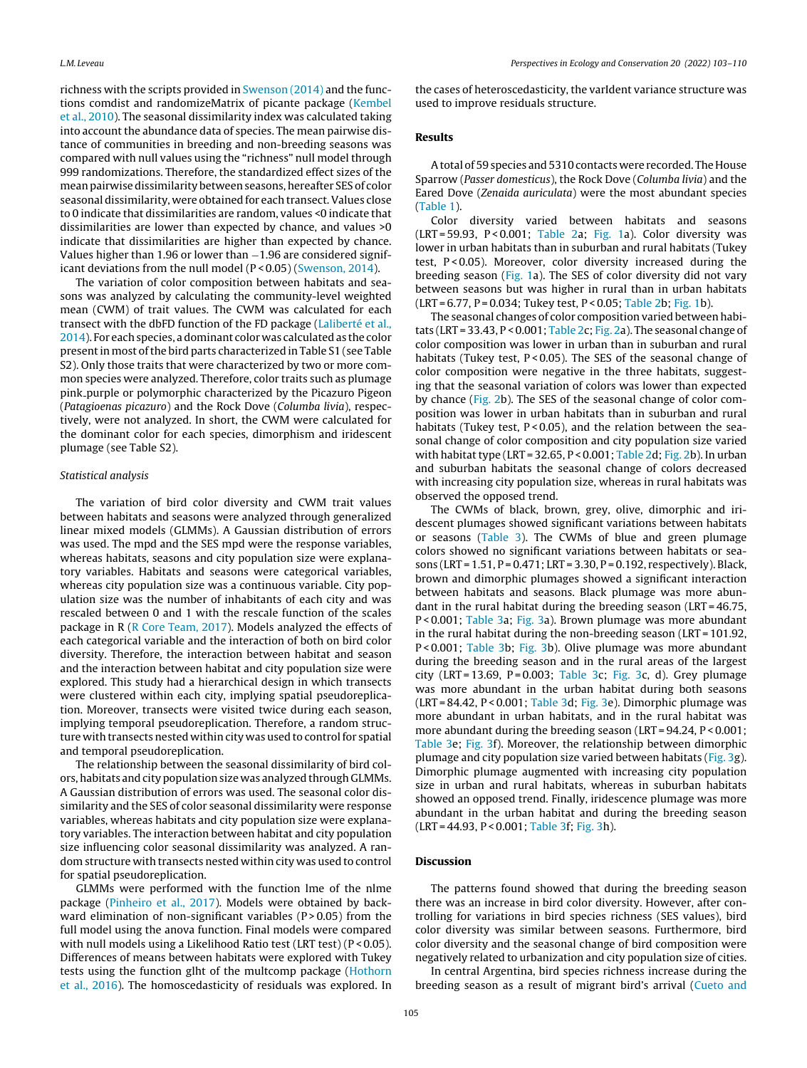richness with the scripts provided in [Swenson](#page-7-0) [\(2014\)](#page-7-0) and the functions comdist and randomizeMatrix of picante package ([Kembel](#page-7-0) et [al.,](#page-7-0) [2010\).](#page-7-0) The seasonal dissimilarity index was calculated taking into account the abundance data of species. The mean pairwise distance of communities in breeding and non-breeding seasons was compared with null values using the "richness" null model through 999 randomizations. Therefore, the standardized effect sizes of the mean pairwise dissimilarity between seasons, hereafter SES of color seasonal dissimilarity, were obtained for each transect.Values close to 0 indicate that dissimilarities are random, values <0 indicate that dissimilarities are lower than expected by chance, and values >0 indicate that dissimilarities are higher than expected by chance. Values higher than 1.96 or lower than −1.96 are considered significant deviations from the null model (P < 0.05) ([Swenson,](#page-7-0) [2014\).](#page-7-0)

The variation of color composition between habitats and seasons was analyzed by calculating the community-level weighted mean (CWM) of trait values. The CWM was calculated for each transect with the dbFD function of the FD package ([Laliberté](#page-7-0) et [al.,](#page-7-0) [2014\).](#page-7-0) For each species, a dominant color was calculated as the color present in most of the bird parts characterized in Table S1 (see Table S2). Only those traits that were characterized by two or more common species were analyzed. Therefore, color traits such as plumage pink purple or polymorphic characterized by the Picazuro Pigeon (Patagioenas picazuro) and the Rock Dove (Columba livia), respectively, were not analyzed. In short, the CWM were calculated for the dominant color for each species, dimorphism and iridescent plumage (see Table S2).

#### Statistical analysis

The variation of bird color diversity and CWM trait values between habitats and seasons were analyzed through generalized linear mixed models (GLMMs). A Gaussian distribution of errors was used. The mpd and the SES mpd were the response variables, whereas habitats, seasons and city population size were explanatory variables. Habitats and seasons were categorical variables, whereas city population size was a continuous variable. City population size was the number of inhabitants of each city and was rescaled between 0 and 1 with the rescale function of the scales package in R ([R](#page-7-0) [Core](#page-7-0) [Team,](#page-7-0) [2017\).](#page-7-0) Models analyzed the effects of each categorical variable and the interaction of both on bird color diversity. Therefore, the interaction between habitat and season and the interaction between habitat and city population size were explored. This study had a hierarchical design in which transects were clustered within each city, implying spatial pseudoreplication. Moreover, transects were visited twice during each season, implying temporal pseudoreplication. Therefore, a random structure with transects nested within city was used to control for spatial and temporal pseudoreplication.

The relationship between the seasonal dissimilarity of bird colors, habitats and city population size was analyzed through GLMMs. A Gaussian distribution of errors was used. The seasonal color dissimilarity and the SES of color seasonal dissimilarity were response variables, whereas habitats and city population size were explanatory variables. The interaction between habitat and city population size influencing color seasonal dissimilarity was analyzed. A random structure with transects nested within city was used to control for spatial pseudoreplication.

GLMMs were performed with the function lme of the nlme package ([Pinheiro](#page-7-0) et [al.,](#page-7-0) [2017\).](#page-7-0) Models were obtained by backward elimination of non-significant variables  $(P > 0.05)$  from the full model using the anova function. Final models were compared with null models using a Likelihood Ratio test (LRT test) (P<0.05). Differences of means between habitats were explored with Tukey tests using the function glht of the multcomp package ([Hothorn](#page-7-0) et [al.,](#page-7-0) [2016\).](#page-7-0) The homoscedasticity of residuals was explored. In

the cases of heteroscedasticity, the varIdent variance structure was used to improve residuals structure.

### Results

A total of 59 species and 5310 contacts were recorded. The House Sparrow (Passer domesticus), the Rock Dove (Columba livia) and the Eared Dove (Zenaida auriculata) were the most abundant species ([Table](#page-3-0) 1).

Color diversity varied between habitats and seasons  $(LRT = 59.93, P < 0.001$ ; [Table](#page-4-0) 2a; [Fig.](#page-4-0) 1a). Color diversity was lower in urban habitats than in suburban and rural habitats (Tukey test,  $P < 0.05$ ). Moreover, color diversity increased during the breeding season [\(Fig.](#page-4-0) 1a). The SES of color diversity did not vary between seasons but was higher in rural than in urban habitats  $(LRT = 6.77, P = 0.034;$  Tukey test,  $P < 0.05;$  [Table](#page-4-0) 2b; [Fig.](#page-4-0) 1b).

The seasonal changes of color composition varied between habitats (LRT = 33.43, P < 0.001; [Table](#page-4-0) 2c; [Fig.](#page-4-0) 2a). The seasonal change of color composition was lower in urban than in suburban and rural habitats (Tukey test, P<0.05). The SES of the seasonal change of color composition were negative in the three habitats, suggesting that the seasonal variation of colors was lower than expected by chance ([Fig.](#page-4-0) 2b). The SES of the seasonal change of color composition was lower in urban habitats than in suburban and rural habitats (Tukey test,  $P < 0.05$ ), and the relation between the seasonal change of color composition and city population size varied with habitat type (LRT = 32.65, P < 0.001; [Table](#page-4-0) 2d; [Fig.](#page-4-0) 2b). In urban and suburban habitats the seasonal change of colors decreased with increasing city population size, whereas in rural habitats was observed the opposed trend.

The CWMs of black, brown, grey, olive, dimorphic and iridescent plumages showed significant variations between habitats or seasons ([Table](#page-5-0) 3). The CWMs of blue and green plumage colors showed no significant variations between habitats or seasons (LRT = 1.51, P = 0.471; LRT = 3.30, P = 0.192, respectively). Black, brown and dimorphic plumages showed a significant interaction between habitats and seasons. Black plumage was more abundant in the rural habitat during the breeding season (LRT = 46.75, P < 0.001; [Table](#page-5-0) 3a; [Fig.](#page-5-0) 3a). Brown plumage was more abundant in the rural habitat during the non-breeding season (LRT = 101.92, P < 0.001; [Table](#page-5-0) 3b; [Fig.](#page-5-0) 3b). Olive plumage was more abundant during the breeding season and in the rural areas of the largest city (LRT = 13.69, P =  $0.003$ ; [Table](#page-5-0) 3c; [Fig.](#page-5-0) 3c, d). Grey plumage was more abundant in the urban habitat during both seasons (LRT = 84.42, P < 0.001; [Table](#page-5-0) 3d; [Fig.](#page-5-0) 3e). Dimorphic plumage was more abundant in urban habitats, and in the rural habitat was more abundant during the breeding season (LRT = 94.24, P < 0.001; [Table](#page-5-0) 3e; [Fig.](#page-5-0) 3f). Moreover, the relationship between dimorphic plumage and city population size varied between habitats [\(Fig.](#page-5-0) 3g). Dimorphic plumage augmented with increasing city population size in urban and rural habitats, whereas in suburban habitats showed an opposed trend. Finally, iridescence plumage was more abundant in the urban habitat and during the breeding season (LRT = 44.93, P < 0.001; [Table](#page-5-0) 3f; [Fig.](#page-5-0) 3h).

#### Discussion

The patterns found showed that during the breeding season there was an increase in bird color diversity. However, after controlling for variations in bird species richness (SES values), bird color diversity was similar between seasons. Furthermore, bird color diversity and the seasonal change of bird composition were negatively related to urbanization and city population size of cities.

In central Argentina, bird species richness increase during the breeding season as a result of migrant bird's arrival [\(Cueto](#page-7-0) [and](#page-7-0)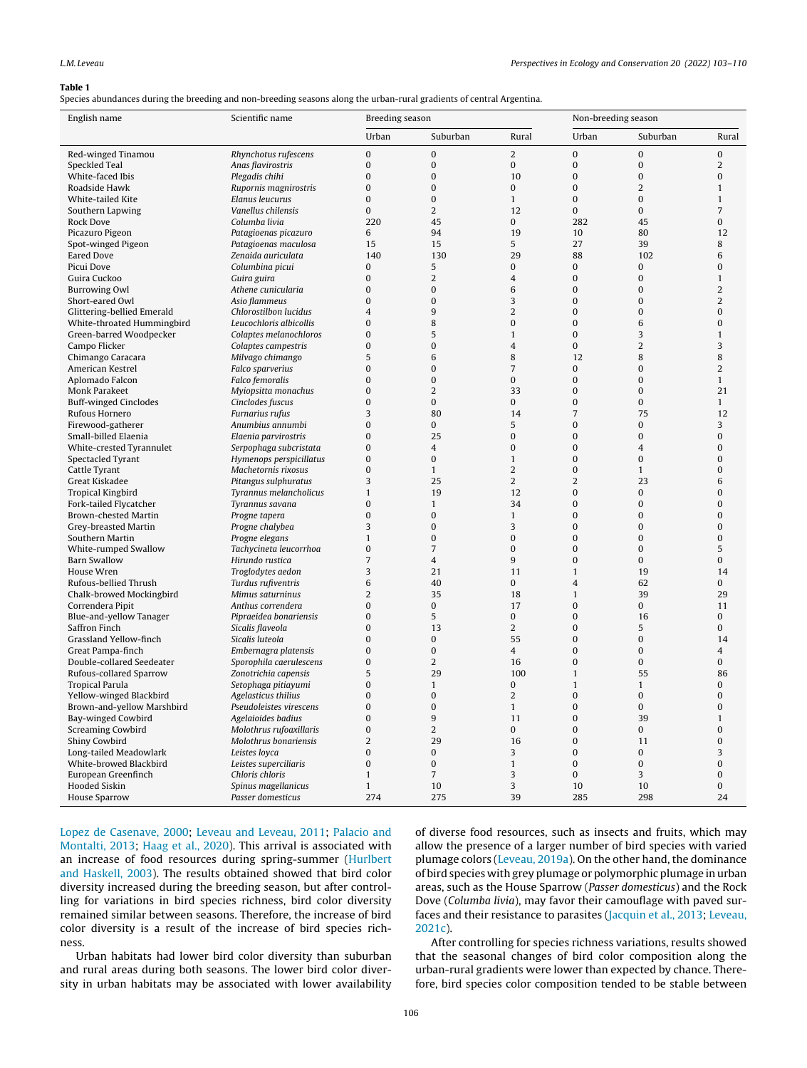#### <span id="page-3-0"></span>Table 1

Species abundances during the breeding and non-breeding seasons along the urban-rural gradients of central Argentina.

| English name                 | Scientific name         | Breeding season  |                |                | Non-breeding season |                |                |
|------------------------------|-------------------------|------------------|----------------|----------------|---------------------|----------------|----------------|
|                              |                         | Urban            | Suburban       | Rural          | Urban               | Suburban       | Rural          |
| Red-winged Tinamou           | Rhynchotus rufescens    | $\boldsymbol{0}$ | $\bf{0}$       | $\overline{c}$ | $\pmb{0}$           | $\pmb{0}$      | 0              |
| Speckled Teal                | Anas flavirostris       | $\boldsymbol{0}$ | $\pmb{0}$      | $\mathbf{0}$   | $\mathbf{0}$        | $\mathbf 0$    | 2              |
| White-faced Ibis             | Plegadis chihi          | 0                | 0              | 10             | 0                   | 0              | 0              |
| Roadside Hawk                | Rupornis magnirostris   | $\overline{0}$   | $\mathbf{0}$   | $\mathbf{0}$   | $\mathbf{0}$        | 2              | 1              |
| White-tailed Kite            | Elanus leucurus         | $\overline{0}$   | $\mathbf{0}$   | $\mathbf{1}$   | $\mathbf{0}$        | $\mathbf{0}$   | $\mathbf{1}$   |
| Southern Lapwing             | Vanellus chilensis      | $\mathbf{0}$     | 2              | 12             | $\mathbf{0}$        | $\mathbf{0}$   | 7              |
| Rock Dove                    | Columba livia           | 220              | 45             | 0              | 282                 | 45             | 0              |
| Picazuro Pigeon              | Patagioenas picazuro    | 6                | 94             | 19             | 10                  | 80             | 12             |
| Spot-winged Pigeon           | Patagioenas maculosa    | 15               | 15             | 5              | 27                  | 39             | 8              |
| <b>Eared Dove</b>            | Zenaida auriculata      | 140              | 130            | 29             | 88                  | 102            | 6              |
| Picui Dove                   | Columbina picui         | 0                | 5              | $\mathbf{0}$   | 0                   | $\bf{0}$       | 0              |
| Guira Cuckoo                 | Guira guira             | $\overline{0}$   | 2              | 4              | $\mathbf{0}$        | $\bf{0}$       | $\mathbf{1}$   |
| <b>Burrowing Owl</b>         | Athene cunicularia      | 0                | 0              | 6              | 0                   | $\bf{0}$       | $\overline{2}$ |
| Short-eared Owl              | Asio flammeus           | 0                | $\bf{0}$       | 3              | 0                   | $\bf{0}$       | 2              |
| Glittering-bellied Emerald   | Chlorostilbon lucidus   | 4                | 9              | $\overline{2}$ | $\mathbf{0}$        | $\bf{0}$       | $\bf{0}$       |
| White-throated Hummingbird   | Leucochloris albicollis | $\overline{0}$   | 8              | $\mathbf{0}$   | $\mathbf{0}$        | 6              | $\overline{0}$ |
| Green-barred Woodpecker      | Colaptes melanochloros  | 0                | 5              | $\mathbf{1}$   | $\mathbf{0}$        | 3              | $\mathbf{1}$   |
| Campo Flicker                | Colaptes campestris     | $\overline{0}$   | $\mathbf 0$    | 4              | $\mathbf{0}$        | $\overline{2}$ | 3              |
|                              |                         | 5                | 6              | 8              | 12                  | 8              | 8              |
| Chimango Caracara            | Milvago chimango        |                  |                |                |                     |                |                |
| American Kestrel             | Falco sparverius        | $\mathbf{0}$     | $\bf{0}$       | 7              | 0                   | 0              | 2              |
| Aplomado Falcon              | Falco femoralis         | 0                | $\bf{0}$       | 0              | $\boldsymbol{0}$    | 0              | $\mathbf{1}$   |
| Monk Parakeet                | Myiopsitta monachus     | 0                | $\overline{c}$ | 33             | $\mathbf{0}$        | $\bf{0}$       | 21             |
| <b>Buff-winged Cinclodes</b> | Cinclodes fuscus        | $\mathbf{0}$     | 0              | $\mathbf{0}$   | $\mathbf{0}$        | $\mathbf{0}$   | $\mathbf{1}$   |
| Rufous Hornero               | Furnarius rufus         | 3                | 80             | 14             | $\overline{7}$      | 75             | 12             |
| Firewood-gatherer            | Anumbius annumbi        | $\mathbf{0}$     | $\mathbf{0}$   | 5              | $\mathbf{0}$        | 0              | 3              |
| Small-billed Elaenia         | Elaenia parvirostris    | $\overline{0}$   | 25             | $\mathbf{0}$   | $\mathbf{0}$        | $\bf{0}$       | 0              |
| White-crested Tyrannulet     | Serpophaga subcristata  | $\mathbf{0}$     | 4              | $\mathbf{0}$   | $\mathbf{0}$        | $\overline{4}$ | 0              |
| Spectacled Tyrant            | Hymenops perspicillatus | 0                | 0              | $\mathbf{1}$   | $\bf{0}$            | $\bf{0}$       | 0              |
| Cattle Tyrant                | Machetornis rixosus     | 0                | $\mathbf{1}$   | $\overline{c}$ | $\bf{0}$            | $\mathbf{1}$   | $\bf{0}$       |
| Great Kiskadee               | Pitangus sulphuratus    | 3                | 25             | $\overline{2}$ | $\overline{2}$      | 23             | 6              |
| <b>Tropical Kingbird</b>     | Tyrannus melancholicus  | $\mathbf{1}$     | 19             | 12             | $\mathbf{0}$        | $\bf{0}$       | $\bf{0}$       |
| Fork-tailed Flycatcher       | Tyrannus savana         | 0                | $\mathbf{1}$   | 34             | $\bf{0}$            | $\bf{0}$       | $\overline{0}$ |
| Brown-chested Martin         | Progne tapera           | $\overline{0}$   | $\mathbf{0}$   | $\mathbf{1}$   | $\mathbf{0}$        | $\mathbf 0$    | $\overline{0}$ |
| Grey-breasted Martin         | Progne chalybea         | 3                | $\bf{0}$       | 3              | $\mathbf{0}$        | $\bf{0}$       | $\overline{0}$ |
| Southern Martin              | Progne elegans          | $\mathbf{1}$     | $\bf{0}$       | $\mathbf{0}$   | $\mathbf{0}$        | $\bf{0}$       | 0              |
| White-rumped Swallow         | Tachycineta leucorrhoa  | $\mathbf{0}$     | $\overline{7}$ | $\mathbf{0}$   | $\mathbf{0}$        | $\bf{0}$       | 5              |
| <b>Barn Swallow</b>          | Hirundo rustica         | $\overline{7}$   | $\overline{4}$ | 9              | $\mathbf{0}$        | $\mathbf{0}$   | 0              |
| House Wren                   | Troglodytes aedon       | 3                | 21             | 11             | $\mathbf{1}$        | 19             | 14             |
| Rufous-bellied Thrush        | Turdus rufiventris      | 6                | 40             | $\mathbf{0}$   | $\overline{4}$      | 62             | 0              |
| Chalk-browed Mockingbird     | Mimus saturninus        | $\overline{2}$   | 35             | 18             | $\mathbf{1}$        | 39             | 29             |
| Correndera Pipit             | Anthus correndera       | $\mathbf{0}$     | 0              | 17             | $\mathbf{0}$        | $\mathbf{0}$   | 11             |
| Blue-and-yellow Tanager      | Pipraeidea bonariensis  | 0                | 5              | 0              | $\boldsymbol{0}$    | 16             | 0              |
| Saffron Finch                | Sicalis flaveola        | 0                | 13             | 2              | $\mathbf{0}$        | 5              | 0              |
| Grassland Yellow-finch       | Sicalis luteola         | $\mathbf{0}$     | $\mathbf{0}$   | 55             | $\mathbf{0}$        | $\mathbf{0}$   | 14             |
| Great Pampa-finch            | Embernagra platensis    | 0                | 0              | $\overline{4}$ | $\mathbf{0}$        | $\bf{0}$       | 4              |
| Double-collared Seedeater    | Sporophila caerulescens | $\mathbf{0}$     | $\overline{2}$ | 16             | $\mathbf{0}$        | $\bf{0}$       | 0              |
| Rufous-collared Sparrow      | Zonotrichia capensis    | 5                | 29             | 100            | $\mathbf{1}$        | 55             | 86             |
| <b>Tropical Parula</b>       | Setophaga pitiayumi     | 0                | $\mathbf{1}$   | 0              | $\mathbf{1}$        | $\mathbf{1}$   | 0              |
| Yellow-winged Blackbird      | Agelasticus thilius     | 0                | $\mathbf{0}$   | $\overline{c}$ | $\mathbf{0}$        | 0              | 0              |
| Brown-and-yellow Marshbird   | Pseudoleistes virescens | 0                | 0              | 1              | 0                   | 0              | 0              |
| Bay-winged Cowbird           | Agelaioides badius      | $\boldsymbol{0}$ | 9              | 11             | $\boldsymbol{0}$    | 39             | $\mathbf{1}$   |
| <b>Screaming Cowbird</b>     | Molothrus rufoaxillaris | 0                | $\overline{c}$ | $\mathbf 0$    | $\boldsymbol{0}$    | 0              | 0              |
| Shiny Cowbird                | Molothrus bonariensis   | $\sqrt{2}$       | 29             | 16             | $\boldsymbol{0}$    | 11             | $\overline{0}$ |
| Long-tailed Meadowlark       | Leistes loyca           | 0                | 0              | 3              | $\pmb{0}$           | 0              | 3              |
| White-browed Blackbird       | Leistes superciliaris   | $\boldsymbol{0}$ | 0              | $\mathbf{1}$   | 0                   | $\bf{0}$       | $\bf{0}$       |
| European Greenfinch          | Chloris chloris         | $\mathbf{1}$     | $\overline{7}$ | 3              | $\pmb{0}$           | 3              | $\bf{0}$       |
| Hooded Siskin                | Spinus magellanicus     | $\mathbf{1}$     | 10             | 3              | 10                  | 10             | $\bf{0}$       |
|                              | Passer domesticus       |                  |                |                |                     |                |                |
| <b>House Sparrow</b>         |                         | 274              | 275            | 39             | 285                 | 298            | 24             |

[Lopez](#page-7-0) [de](#page-7-0) [Casenave,](#page-7-0) [2000;](#page-7-0) [Leveau](#page-7-0) [and](#page-7-0) [Leveau,](#page-7-0) [2011;](#page-7-0) [Palacio](#page-7-0) [and](#page-7-0) [Montalti,](#page-7-0) [2013;](#page-7-0) [Haag](#page-7-0) et [al.,](#page-7-0) [2020\).](#page-7-0) This arrival is associated with an increase of food resources during spring-summer ([Hurlbert](#page-7-0) [and](#page-7-0) [Haskell,](#page-7-0) [2003\).](#page-7-0) The results obtained showed that bird color diversity increased during the breeding season, but after controlling for variations in bird species richness, bird color diversity remained similar between seasons. Therefore, the increase of bird color diversity is a result of the increase of bird species richness.

Urban habitats had lower bird color diversity than suburban and rural areas during both seasons. The lower bird color diversity in urban habitats may be associated with lower availability

of diverse food resources, such as insects and fruits, which may allow the presence of a larger number of bird species with varied plumage colors [\(Leveau,](#page-7-0) [2019a\).](#page-7-0) On the other hand, the dominance of bird species with grey plumage or polymorphic plumage in urban areas, such as the House Sparrow (Passer domesticus) and the Rock Dove (Columba livia), may favor their camouflage with paved surfaces and their resistance to parasites [\(Jacquin](#page-7-0) et [al.,](#page-7-0) [2013;](#page-7-0) [Leveau,](#page-7-0) [2021c\).](#page-7-0)

After controlling for species richness variations, results showed that the seasonal changes of bird color composition along the urban-rural gradients were lower than expected by chance. Therefore, bird species color composition tended to be stable between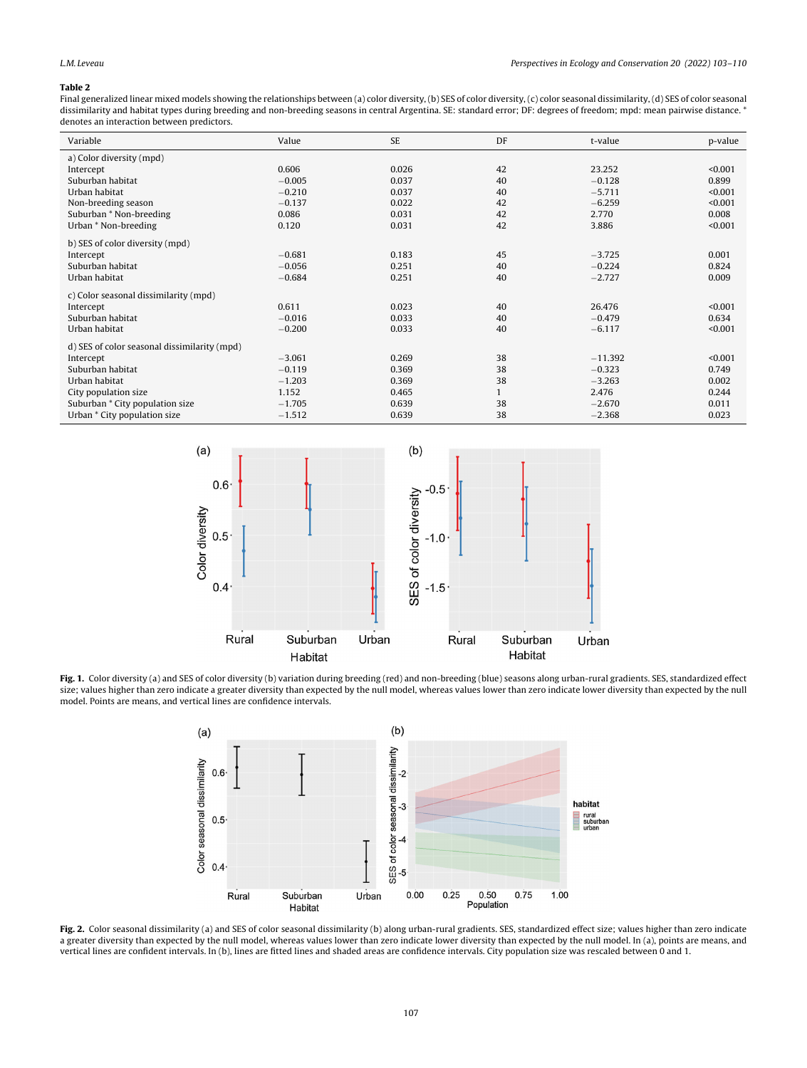#### <span id="page-4-0"></span>Table 2

Final generalized linear mixed models showing the relationships between (a) color diversity, (b) SES of color diversity, (c) color seasonal dissimilarity, (d) SES of color seasonal dissimilarity and habitat types during breeding and non-breeding seasons in central Argentina. SE: standard error; DF: degrees of freedom; mpd: mean pairwise distance. \* denotes an interaction between predictors.

| Variable                                     | Value    | <b>SE</b> | DF           | t-value   | p-value |
|----------------------------------------------|----------|-----------|--------------|-----------|---------|
| a) Color diversity (mpd)                     |          |           |              |           |         |
| Intercept                                    | 0.606    | 0.026     | 42           | 23,252    | < 0.001 |
| Suburban habitat                             | $-0.005$ | 0.037     | 40           | $-0.128$  | 0.899   |
| Urban habitat                                | $-0.210$ | 0.037     | 40           | $-5.711$  | < 0.001 |
| Non-breeding season                          | $-0.137$ | 0.022     | 42           | $-6.259$  | < 0.001 |
| Suburban * Non-breeding                      | 0.086    | 0.031     | 42           | 2.770     | 0.008   |
| Urban * Non-breeding                         | 0.120    | 0.031     | 42           | 3.886     | < 0.001 |
| b) SES of color diversity (mpd)              |          |           |              |           |         |
| Intercept                                    | $-0.681$ | 0.183     | 45           | $-3.725$  | 0.001   |
| Suburban habitat                             | $-0.056$ | 0.251     | 40           | $-0.224$  | 0.824   |
| Urban habitat                                | $-0.684$ | 0.251     | 40           | $-2.727$  | 0.009   |
| c) Color seasonal dissimilarity (mpd)        |          |           |              |           |         |
| Intercept                                    | 0.611    | 0.023     | 40           | 26.476    | < 0.001 |
| Suburban habitat                             | $-0.016$ | 0.033     | 40           | $-0.479$  | 0.634   |
| Urban habitat                                | $-0.200$ | 0.033     | 40           | $-6.117$  | < 0.001 |
| d) SES of color seasonal dissimilarity (mpd) |          |           |              |           |         |
| Intercept                                    | $-3.061$ | 0.269     | 38           | $-11.392$ | < 0.001 |
| Suburban habitat                             | $-0.119$ | 0.369     | 38           | $-0.323$  | 0.749   |
| Urban habitat                                | $-1.203$ | 0.369     | 38           | $-3.263$  | 0.002   |
| City population size                         | 1.152    | 0.465     | $\mathbf{1}$ | 2.476     | 0.244   |
| Suburban * City population size              | $-1.705$ | 0.639     | 38           | $-2.670$  | 0.011   |
| Urban * City population size                 | $-1.512$ | 0.639     | 38           | $-2.368$  | 0.023   |



Fig. 1. Color diversity (a) and SES of color diversity (b) variation during breeding (red) and non-breeding (blue) seasons along urban-rural gradients. SES, standardized effect size; values higher than zero indicate a greater diversity than expected by the null model, whereas values lower than zero indicate lower diversity than expected by the null model. Points are means, and vertical lines are confidence intervals.



Fig. 2. Color seasonal dissimilarity (a) and SES of color seasonal dissimilarity (b) along urban-rural gradients. SES, standardized effect size; values higher than zero indicate a greater diversity than expected by the null model, whereas values lower than zero indicate lower diversity than expected by the null model. In (a), points are means, and vertical lines are confident intervals. In (b), lines are fitted lines and shaded areas are confidence intervals. City population size was rescaled between 0 and 1.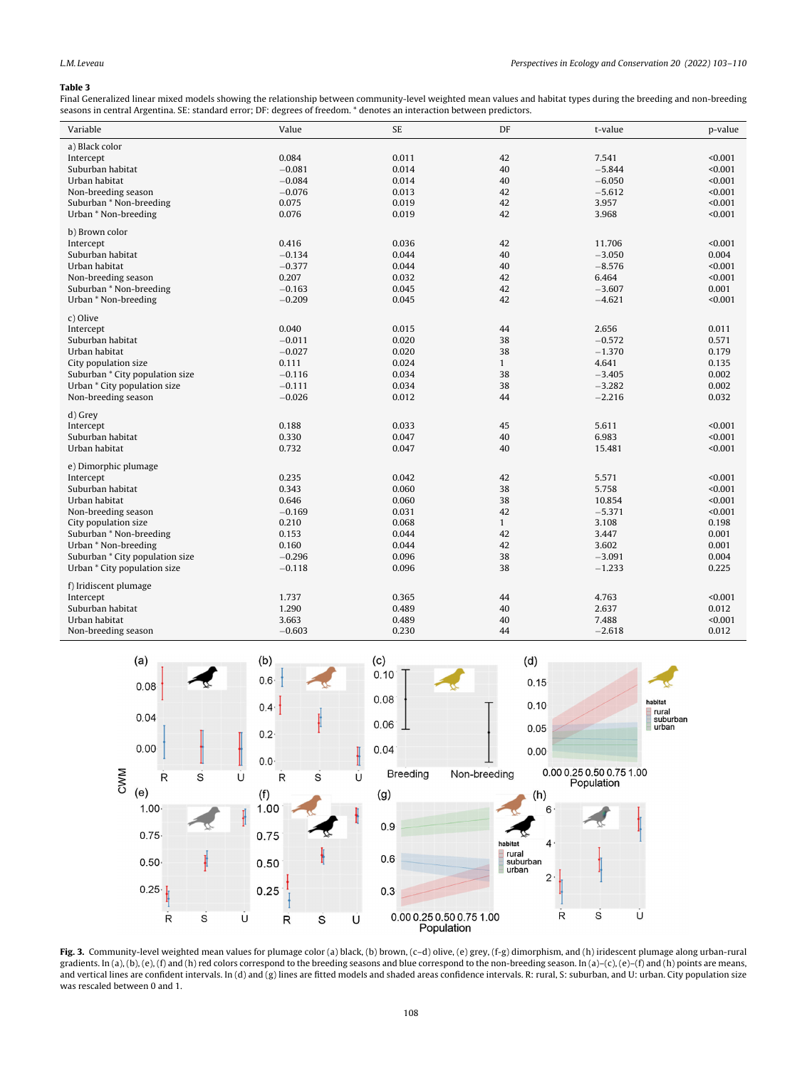#### <span id="page-5-0"></span>Table 3

Final Generalized linear mixed models showing the relationship between community-level weighted mean values and habitat types during the breeding and non-breeding seasons in central Argentina. SE: standard error; DF: degrees of freedom. \* denotes an interaction between predictors.

| Variable                        | Value    | <b>SE</b> | DF           | t-value  | p-value |
|---------------------------------|----------|-----------|--------------|----------|---------|
| a) Black color                  |          |           |              |          |         |
| Intercept                       | 0.084    | 0.011     | 42           | 7.541    | < 0.001 |
| Suburban habitat                | $-0.081$ | 0.014     | 40           | $-5.844$ | < 0.001 |
| Urban habitat                   | $-0.084$ | 0.014     | 40           | $-6.050$ | < 0.001 |
| Non-breeding season             | $-0.076$ | 0.013     | 42           | $-5.612$ | < 0.001 |
| Suburban * Non-breeding         | 0.075    | 0.019     | 42           | 3.957    | < 0.001 |
| Urban * Non-breeding            | 0.076    | 0.019     | 42           | 3.968    | < 0.001 |
| b) Brown color                  |          |           |              |          |         |
| Intercept                       | 0.416    | 0.036     | 42           | 11.706   | < 0.001 |
| Suburban habitat                | $-0.134$ | 0.044     | 40           | $-3.050$ | 0.004   |
| Urban habitat                   | $-0.377$ | 0.044     | 40           | $-8.576$ | < 0.001 |
| Non-breeding season             | 0.207    | 0.032     | 42           | 6.464    | < 0.001 |
| Suburban * Non-breeding         | $-0.163$ | 0.045     | 42           | $-3.607$ | 0.001   |
| Urban * Non-breeding            | $-0.209$ | 0.045     | 42           | $-4.621$ | < 0.001 |
| c) Olive                        |          |           |              |          |         |
| Intercept                       | 0.040    | 0.015     | 44           | 2.656    | 0.011   |
| Suburban habitat                | $-0.011$ | 0.020     | 38           | $-0.572$ | 0.571   |
| Urban habitat                   | $-0.027$ | 0.020     | 38           | $-1.370$ | 0.179   |
| City population size            | 0.111    | 0.024     | $\mathbf{1}$ | 4.641    | 0.135   |
| Suburban * City population size | $-0.116$ | 0.034     | 38           | $-3.405$ | 0.002   |
| Urban * City population size    | $-0.111$ | 0.034     | 38           | $-3.282$ | 0.002   |
| Non-breeding season             | $-0.026$ | 0.012     | 44           | $-2.216$ | 0.032   |
| d) Grey                         |          |           |              |          |         |
| Intercept                       | 0.188    | 0.033     | 45           | 5.611    | < 0.001 |
| Suburban habitat                | 0.330    | 0.047     | 40           | 6.983    | < 0.001 |
| Urban habitat                   | 0.732    | 0.047     | 40           | 15.481   | < 0.001 |
| e) Dimorphic plumage            |          |           |              |          |         |
| Intercept                       | 0.235    | 0.042     | 42           | 5.571    | < 0.001 |
| Suburban habitat                | 0.343    | 0.060     | 38           | 5.758    | < 0.001 |
| Urban habitat                   | 0.646    | 0.060     | 38           | 10.854   | < 0.001 |
| Non-breeding season             | $-0.169$ | 0.031     | 42           | $-5.371$ | < 0.001 |
| City population size            | 0.210    | 0.068     | $\mathbf{1}$ | 3.108    | 0.198   |
| Suburban * Non-breeding         | 0.153    | 0.044     | 42           | 3.447    | 0.001   |
| Urban * Non-breeding            | 0.160    | 0.044     | 42           | 3.602    | 0.001   |
| Suburban * City population size | $-0.296$ | 0.096     | 38           | $-3.091$ | 0.004   |
| Urban * City population size    | $-0.118$ | 0.096     | 38           | $-1.233$ | 0.225   |
| f) Iridiscent plumage           |          |           |              |          |         |
| Intercept                       | 1.737    | 0.365     | 44           | 4.763    | < 0.001 |
| Suburban habitat                | 1.290    | 0.489     | 40           | 2.637    | 0.012   |
| Urban habitat                   | 3.663    | 0.489     | 40           | 7.488    | < 0.001 |
| Non-breeding season             | $-0.603$ | 0.230     | 44           | $-2.618$ | 0.012   |



Fig. 3. Community-level weighted mean values for plumage color (a) black, (b) brown, (c–d) olive, (e) grey, (f-g) dimorphism, and (h) iridescent plumage along urban-rural gradients. In (a), (b), (e), (f) and (h) red colors correspond to the breeding seasons and blue correspond to the non-breeding season. In (a)-(c), (e)-(f) and (h) points are means, and vertical lines are confident intervals. In (d) and (g) lines are fitted models and shaded areas confidence intervals. R: rural, S: suburban, and U: urban. City population size was rescaled between 0 and 1.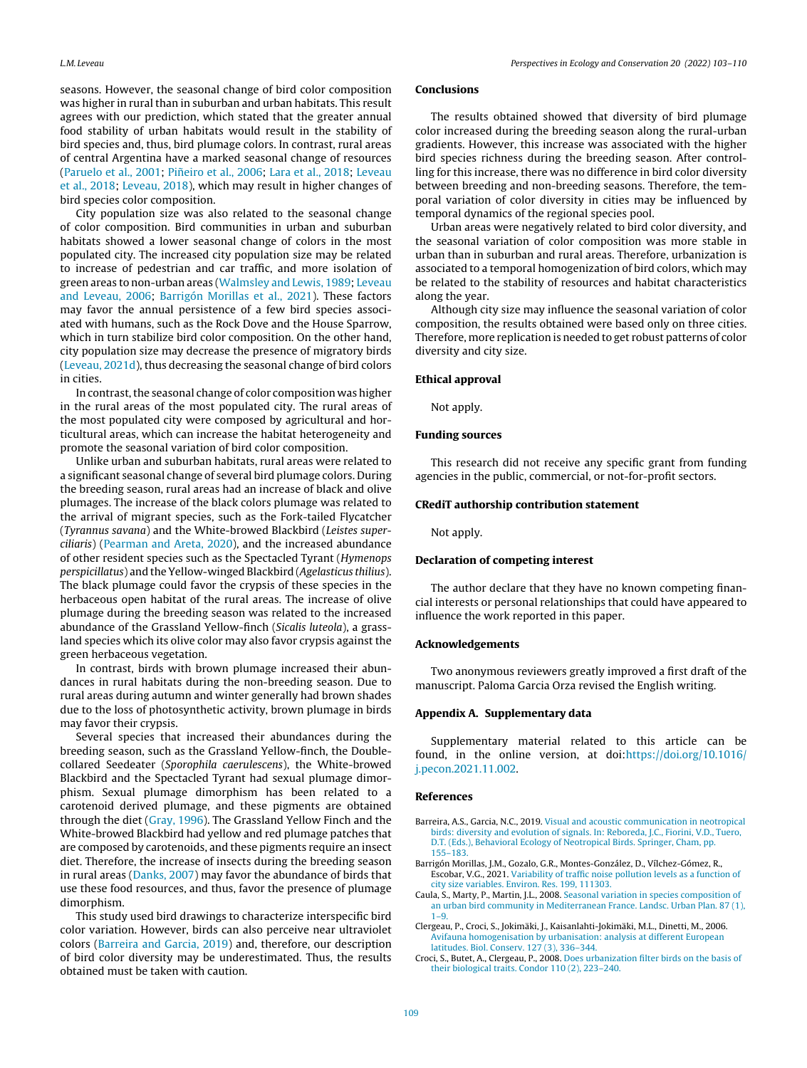<span id="page-6-0"></span>seasons. However, the seasonal change of bird color composition was higher in rural than in suburban and urban habitats. This result agrees with our prediction, which stated that the greater annual food stability of urban habitats would result in the stability of bird species and, thus, bird plumage colors. In contrast, rural areas of central Argentina have a marked seasonal change of resources [\(Paruelo](#page-7-0) et [al.,](#page-7-0) [2001;](#page-7-0) Piñeiro et al., [2006;](#page-7-0) [Lara](#page-7-0) et al., [2018;](#page-7-0) [Leveau](#page-7-0) et [al.,](#page-7-0) [2018;](#page-7-0) [Leveau,](#page-7-0) [2018\),](#page-7-0) which may result in higher changes of bird species color composition.

City population size was also related to the seasonal change of color composition. Bird communities in urban and suburban habitats showed a lower seasonal change of colors in the most populated city. The increased city population size may be related to increase of pedestrian and car traffic, and more isolation of green areas to non-urban areas ([Walmsley](#page-7-0) [and](#page-7-0) [Lewis,](#page-7-0) [1989;](#page-7-0) [Leveau](#page-7-0) [and](#page-7-0) [Leveau,](#page-7-0) [2006;](#page-7-0) Barrigón Morillas et al., 2021). These factors may favor the annual persistence of a few bird species associated with humans, such as the Rock Dove and the House Sparrow, which in turn stabilize bird color composition. On the other hand, city population size may decrease the presence of migratory birds [\(Leveau,](#page-7-0) [2021d\),](#page-7-0) thus decreasing the seasonal change of bird colors in cities.

In contrast, the seasonal change of color composition was higher in the rural areas of the most populated city. The rural areas of the most populated city were composed by agricultural and horticultural areas, which can increase the habitat heterogeneity and promote the seasonal variation of bird color composition.

Unlike urban and suburban habitats, rural areas were related to a significant seasonal change of several bird plumage colors. During the breeding season, rural areas had an increase of black and olive plumages. The increase of the black colors plumage was related to the arrival of migrant species, such as the Fork-tailed Flycatcher (Tyrannus savana) and the White-browed Blackbird (Leistes superciliaris) [\(Pearman](#page-7-0) [and](#page-7-0) [Areta,](#page-7-0) [2020\),](#page-7-0) and the increased abundance of other resident species such as the Spectacled Tyrant (Hymenops perspicillatus) and the Yellow-winged Blackbird (Agelasticus thilius). The black plumage could favor the crypsis of these species in the herbaceous open habitat of the rural areas. The increase of olive plumage during the breeding season was related to the increased abundance of the Grassland Yellow-finch (Sicalis luteola), a grassland species which its olive color may also favor crypsis against the green herbaceous vegetation.

In contrast, birds with brown plumage increased their abundances in rural habitats during the non-breeding season. Due to rural areas during autumn and winter generally had brown shades due to the loss of photosynthetic activity, brown plumage in birds may favor their crypsis.

Several species that increased their abundances during the breeding season, such as the Grassland Yellow-finch, the Doublecollared Seedeater (Sporophila caerulescens), the White-browed Blackbird and the Spectacled Tyrant had sexual plumage dimorphism. Sexual plumage dimorphism has been related to a carotenoid derived plumage, and these pigments are obtained through the diet ([Gray,](#page-7-0) [1996\).](#page-7-0) The Grassland Yellow Finch and the White-browed Blackbird had yellow and red plumage patches that are composed by carotenoids, and these pigments require an insect diet. Therefore, the increase of insects during the breeding season in rural areas [\(Danks,](#page-7-0) [2007\)](#page-7-0) may favor the abundance of birds that use these food resources, and thus, favor the presence of plumage dimorphism.

This study used bird drawings to characterize interspecific bird color variation. However, birds can also perceive near ultraviolet colors (Barreira and Garcia, 2019) and, therefore, our description of bird color diversity may be underestimated. Thus, the results obtained must be taken with caution.

#### Conclusions

The results obtained showed that diversity of bird plumage color increased during the breeding season along the rural-urban gradients. However, this increase was associated with the higher bird species richness during the breeding season. After controlling for this increase, there was no difference in bird color diversity between breeding and non-breeding seasons. Therefore, the temporal variation of color diversity in cities may be influenced by temporal dynamics of the regional species pool.

Urban areas were negatively related to bird color diversity, and the seasonal variation of color composition was more stable in urban than in suburban and rural areas. Therefore, urbanization is associated to a temporal homogenization of bird colors, which may be related to the stability of resources and habitat characteristics along the year.

Although city size may influence the seasonal variation of color composition, the results obtained were based only on three cities. Therefore, more replication is needed to get robust patterns of color diversity and city size.

#### Ethical approval

Not apply.

#### Funding sources

This research did not receive any specific grant from funding agencies in the public, commercial, or not-for-profit sectors.

#### CRediT authorship contribution statement

Not apply.

#### Declaration of competing interest

The author declare that they have no known competing financial interests or personal relationships that could have appeared to influence the work reported in this paper.

#### Acknowledgements

Two anonymous reviewers greatly improved a first draft of the manuscript. Paloma Garcia Orza revised the English writing.

#### Appendix A. Supplementary data

Supplementary material related to this article can be found, in the online version, at doi[:https://doi.org/10.1016/](https://doi.org/10.1016/j.pecon.2021.11.002) [j.pecon.2021.11.002](https://doi.org/10.1016/j.pecon.2021.11.002).

#### References

- Barreira, A.S., Garcia, N.C., 2019. [Visual](http://refhub.elsevier.com/S2530-0644(21)00094-8/sbref0005) [and](http://refhub.elsevier.com/S2530-0644(21)00094-8/sbref0005) [acoustic](http://refhub.elsevier.com/S2530-0644(21)00094-8/sbref0005) [communication](http://refhub.elsevier.com/S2530-0644(21)00094-8/sbref0005) [in](http://refhub.elsevier.com/S2530-0644(21)00094-8/sbref0005) [neotropical](http://refhub.elsevier.com/S2530-0644(21)00094-8/sbref0005) [birds:](http://refhub.elsevier.com/S2530-0644(21)00094-8/sbref0005) [diversity](http://refhub.elsevier.com/S2530-0644(21)00094-8/sbref0005) [and](http://refhub.elsevier.com/S2530-0644(21)00094-8/sbref0005) [evolution](http://refhub.elsevier.com/S2530-0644(21)00094-8/sbref0005) [of](http://refhub.elsevier.com/S2530-0644(21)00094-8/sbref0005) [signals.](http://refhub.elsevier.com/S2530-0644(21)00094-8/sbref0005) [In:](http://refhub.elsevier.com/S2530-0644(21)00094-8/sbref0005) [Reboreda,](http://refhub.elsevier.com/S2530-0644(21)00094-8/sbref0005) [J.C.,](http://refhub.elsevier.com/S2530-0644(21)00094-8/sbref0005) [Fiorini,](http://refhub.elsevier.com/S2530-0644(21)00094-8/sbref0005) [V.D.,](http://refhub.elsevier.com/S2530-0644(21)00094-8/sbref0005) [Tuero,](http://refhub.elsevier.com/S2530-0644(21)00094-8/sbref0005) [D.T.](http://refhub.elsevier.com/S2530-0644(21)00094-8/sbref0005) [\(Eds.\),](http://refhub.elsevier.com/S2530-0644(21)00094-8/sbref0005) [Behavioral](http://refhub.elsevier.com/S2530-0644(21)00094-8/sbref0005) [Ecology](http://refhub.elsevier.com/S2530-0644(21)00094-8/sbref0005) [of](http://refhub.elsevier.com/S2530-0644(21)00094-8/sbref0005) [Neotropical](http://refhub.elsevier.com/S2530-0644(21)00094-8/sbref0005) [Birds.](http://refhub.elsevier.com/S2530-0644(21)00094-8/sbref0005) [Springer,](http://refhub.elsevier.com/S2530-0644(21)00094-8/sbref0005) [Cham,](http://refhub.elsevier.com/S2530-0644(21)00094-8/sbref0005) [pp.](http://refhub.elsevier.com/S2530-0644(21)00094-8/sbref0005) [155](http://refhub.elsevier.com/S2530-0644(21)00094-8/sbref0005)–[183.](http://refhub.elsevier.com/S2530-0644(21)00094-8/sbref0005)
- Barrigón Morillas, J.M., Gozalo, G.R., Montes-González, D., Vílchez-Gómez, R., Escobar, V.G., 2021. [Variability](http://refhub.elsevier.com/S2530-0644(21)00094-8/sbref0010) [of](http://refhub.elsevier.com/S2530-0644(21)00094-8/sbref0010) [traffic](http://refhub.elsevier.com/S2530-0644(21)00094-8/sbref0010) [noise](http://refhub.elsevier.com/S2530-0644(21)00094-8/sbref0010) [pollution](http://refhub.elsevier.com/S2530-0644(21)00094-8/sbref0010) [levels](http://refhub.elsevier.com/S2530-0644(21)00094-8/sbref0010) [as](http://refhub.elsevier.com/S2530-0644(21)00094-8/sbref0010) [a](http://refhub.elsevier.com/S2530-0644(21)00094-8/sbref0010) [function](http://refhub.elsevier.com/S2530-0644(21)00094-8/sbref0010) [of](http://refhub.elsevier.com/S2530-0644(21)00094-8/sbref0010) [city](http://refhub.elsevier.com/S2530-0644(21)00094-8/sbref0010) [size](http://refhub.elsevier.com/S2530-0644(21)00094-8/sbref0010) [variables.](http://refhub.elsevier.com/S2530-0644(21)00094-8/sbref0010) [Environ.](http://refhub.elsevier.com/S2530-0644(21)00094-8/sbref0010) [Res.](http://refhub.elsevier.com/S2530-0644(21)00094-8/sbref0010) [199,](http://refhub.elsevier.com/S2530-0644(21)00094-8/sbref0010) [111303.](http://refhub.elsevier.com/S2530-0644(21)00094-8/sbref0010)
- Caula, S., Marty, P., Martin, J.L., 2008. [Seasonal](http://refhub.elsevier.com/S2530-0644(21)00094-8/sbref0020) [variation](http://refhub.elsevier.com/S2530-0644(21)00094-8/sbref0020) [in](http://refhub.elsevier.com/S2530-0644(21)00094-8/sbref0020) [species](http://refhub.elsevier.com/S2530-0644(21)00094-8/sbref0020) [composition](http://refhub.elsevier.com/S2530-0644(21)00094-8/sbref0020) [of](http://refhub.elsevier.com/S2530-0644(21)00094-8/sbref0020) [an](http://refhub.elsevier.com/S2530-0644(21)00094-8/sbref0020) [urban](http://refhub.elsevier.com/S2530-0644(21)00094-8/sbref0020) [bird](http://refhub.elsevier.com/S2530-0644(21)00094-8/sbref0020) [community](http://refhub.elsevier.com/S2530-0644(21)00094-8/sbref0020) [in](http://refhub.elsevier.com/S2530-0644(21)00094-8/sbref0020) [Mediterranean](http://refhub.elsevier.com/S2530-0644(21)00094-8/sbref0020) [France.](http://refhub.elsevier.com/S2530-0644(21)00094-8/sbref0020) [Landsc.](http://refhub.elsevier.com/S2530-0644(21)00094-8/sbref0020) [Urban](http://refhub.elsevier.com/S2530-0644(21)00094-8/sbref0020) [Plan.](http://refhub.elsevier.com/S2530-0644(21)00094-8/sbref0020) [87](http://refhub.elsevier.com/S2530-0644(21)00094-8/sbref0020) [\(1\),](http://refhub.elsevier.com/S2530-0644(21)00094-8/sbref0020)  $1 - 9$
- Clergeau, P., Croci, S., Jokimäki, J., Kaisanlahti-Jokimäki, M.L., Dinetti, M., 2006. [Avifauna](http://refhub.elsevier.com/S2530-0644(21)00094-8/sbref0025) [homogenisation](http://refhub.elsevier.com/S2530-0644(21)00094-8/sbref0025) [by](http://refhub.elsevier.com/S2530-0644(21)00094-8/sbref0025) [urbanisation:](http://refhub.elsevier.com/S2530-0644(21)00094-8/sbref0025) [analysis](http://refhub.elsevier.com/S2530-0644(21)00094-8/sbref0025) [at](http://refhub.elsevier.com/S2530-0644(21)00094-8/sbref0025) [different](http://refhub.elsevier.com/S2530-0644(21)00094-8/sbref0025) [European](http://refhub.elsevier.com/S2530-0644(21)00094-8/sbref0025) [latitudes.](http://refhub.elsevier.com/S2530-0644(21)00094-8/sbref0025) [Biol.](http://refhub.elsevier.com/S2530-0644(21)00094-8/sbref0025) [Conserv.](http://refhub.elsevier.com/S2530-0644(21)00094-8/sbref0025) [127](http://refhub.elsevier.com/S2530-0644(21)00094-8/sbref0025) [\(3\),](http://refhub.elsevier.com/S2530-0644(21)00094-8/sbref0025) [336–344.](http://refhub.elsevier.com/S2530-0644(21)00094-8/sbref0025)
- Croci, S., Butet, A., Clergeau, P., 2008. [Does](http://refhub.elsevier.com/S2530-0644(21)00094-8/sbref0030) [urbanization](http://refhub.elsevier.com/S2530-0644(21)00094-8/sbref0030) [filter](http://refhub.elsevier.com/S2530-0644(21)00094-8/sbref0030) [birds](http://refhub.elsevier.com/S2530-0644(21)00094-8/sbref0030) [on](http://refhub.elsevier.com/S2530-0644(21)00094-8/sbref0030) [the](http://refhub.elsevier.com/S2530-0644(21)00094-8/sbref0030) [basis](http://refhub.elsevier.com/S2530-0644(21)00094-8/sbref0030) [of](http://refhub.elsevier.com/S2530-0644(21)00094-8/sbref0030) [their](http://refhub.elsevier.com/S2530-0644(21)00094-8/sbref0030) [biological](http://refhub.elsevier.com/S2530-0644(21)00094-8/sbref0030) [traits.](http://refhub.elsevier.com/S2530-0644(21)00094-8/sbref0030) [Condor](http://refhub.elsevier.com/S2530-0644(21)00094-8/sbref0030) [110](http://refhub.elsevier.com/S2530-0644(21)00094-8/sbref0030) [\(2\),](http://refhub.elsevier.com/S2530-0644(21)00094-8/sbref0030) [223](http://refhub.elsevier.com/S2530-0644(21)00094-8/sbref0030)–[240.](http://refhub.elsevier.com/S2530-0644(21)00094-8/sbref0030)